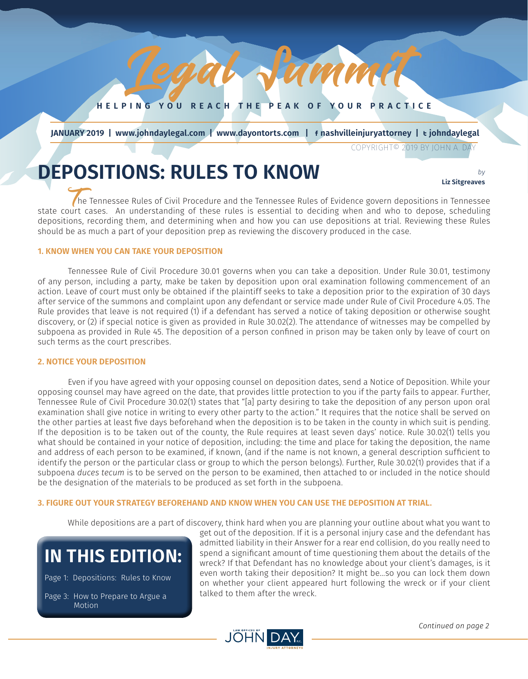**HELPING YOU REACH THE PEAK OF YOUR PRACTICE**

Pamm

*JULY 2018 1*

 **JANUARY 2019 | www.johndaylegal.com | www.dayontorts.com |** F **nashvilleinjuryattorney |** T **johndaylegal**

COPYRIGHT© 2019 BY JOHN A. DAY

# **DEPOSITIONS: RULES TO KNOW** *by*

**Liz Sitgreaves**

The Tennessee Rules of Civil Procedure and the Tennessee Rules of Evidence govern depositions in Tennessee state court cases. An understanding of these rules is essential to deciding when and who to depose, scheduling depositions, recording them, and determining when and how you can use depositions at trial. Reviewing these Rules should be as much a part of your deposition prep as reviewing the discovery produced in the case.

#### **1. KNOW WHEN YOU CAN TAKE YOUR DEPOSITION**

Tennessee Rule of Civil Procedure 30.01 governs when you can take a deposition. Under Rule 30.01, testimony of any person, including a party, make be taken by deposition upon oral examination following commencement of an action. Leave of court must only be obtained if the plaintiff seeks to take a deposition prior to the expiration of 30 days after service of the summons and complaint upon any defendant or service made under Rule of Civil Procedure 4.05. The Rule provides that leave is not required (1) if a defendant has served a notice of taking deposition or otherwise sought discovery, or (2) if special notice is given as provided in Rule 30.02(2). The attendance of witnesses may be compelled by subpoena as provided in Rule 45. The deposition of a person confined in prison may be taken only by leave of court on such terms as the court prescribes.

#### **2. NOTICE YOUR DEPOSITION**

Even if you have agreed with your opposing counsel on deposition dates, send a Notice of Deposition. While your opposing counsel may have agreed on the date, that provides little protection to you if the party fails to appear. Further, Tennessee Rule of Civil Procedure 30.02(1) states that "[a] party desiring to take the deposition of any person upon oral examination shall give notice in writing to every other party to the action." It requires that the notice shall be served on the other parties at least five days beforehand when the deposition is to be taken in the county in which suit is pending. If the deposition is to be taken out of the county, the Rule requires at least seven days' notice. Rule 30.02(1) tells you what should be contained in your notice of deposition, including: the time and place for taking the deposition, the name and address of each person to be examined, if known, (and if the name is not known, a general description sufficient to identify the person or the particular class or group to which the person belongs). Further, Rule 30.02(1) provides that if a subpoena *duces tecum* is to be served on the person to be examined, then attached to or included in the notice should be the designation of the materials to be produced as set forth in the subpoena.

#### **3. FIGURE OUT YOUR STRATEGY BEFOREHAND AND KNOW WHEN YOU CAN USE THE DEPOSITION AT TRIAL.**

While depositions are a part of discovery, think hard when you are planning your outline about what you want to

## **IN THIS EDITION:**

Page 1: Depositions: Rules to Know Page 3: How to Prepare to Argue a Motion

get out of the deposition. If it is a personal injury case and the defendant has admitted liability in their Answer for a rear end collision, do you really need to spend a significant amount of time questioning them about the details of the wreck? If that Defendant has no knowledge about your client's damages, is it even worth taking their deposition? It might be…so you can lock them down on whether your client appeared hurt following the wreck or if your client talked to them after the wreck.

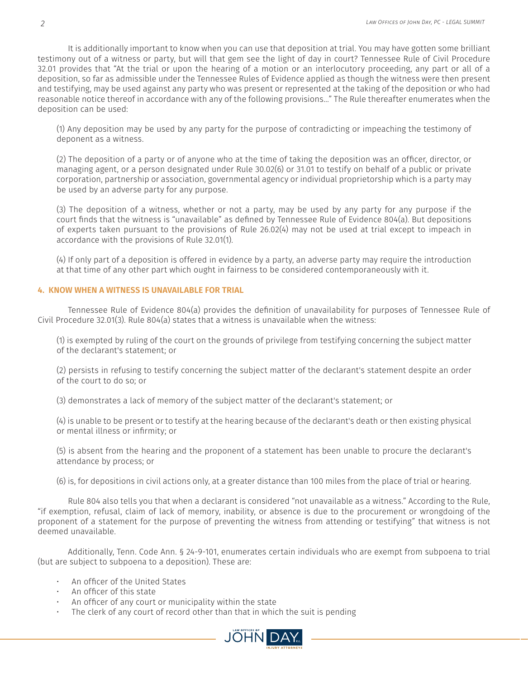It is additionally important to know when you can use that deposition at trial. You may have gotten some brilliant testimony out of a witness or party, but will that gem see the light of day in court? Tennessee Rule of Civil Procedure 32.01 provides that "At the trial or upon the hearing of a motion or an interlocutory proceeding, any part or all of a deposition, so far as admissible under the Tennessee Rules of Evidence applied as though the witness were then present and testifying, may be used against any party who was present or represented at the taking of the deposition or who had reasonable notice thereof in accordance with any of the following provisions…" The Rule thereafter enumerates when the deposition can be used:

(1) Any deposition may be used by any party for the purpose of contradicting or impeaching the testimony of deponent as a witness.

(2) The deposition of a party or of anyone who at the time of taking the deposition was an officer, director, or managing agent, or a person designated under Rule 30.02(6) or 31.01 to testify on behalf of a public or private corporation, partnership or association, governmental agency or individual proprietorship which is a party may be used by an adverse party for any purpose.

(3) The deposition of a witness, whether or not a party, may be used by any party for any purpose if the court finds that the witness is "unavailable" as defined by Tennessee Rule of Evidence 804(a). But depositions of experts taken pursuant to the provisions of Rule 26.02(4) may not be used at trial except to impeach in accordance with the provisions of Rule 32.01(1).

(4) If only part of a deposition is offered in evidence by a party, an adverse party may require the introduction at that time of any other part which ought in fairness to be considered contemporaneously with it.

#### **4. KNOW WHEN A WITNESS IS UNAVAILABLE FOR TRIAL**

Tennessee Rule of Evidence 804(a) provides the definition of unavailability for purposes of Tennessee Rule of Civil Procedure 32.01(3). Rule 804(a) states that a witness is unavailable when the witness:

(1) is exempted by ruling of the court on the grounds of privilege from testifying concerning the subject matter of the declarant's statement; or

(2) persists in refusing to testify concerning the subject matter of the declarant's statement despite an order of the court to do so; or

(3) demonstrates a lack of memory of the subject matter of the declarant's statement; or

(4) is unable to be present or to testify at the hearing because of the declarant's death or then existing physical or mental illness or infirmity; or

(5) is absent from the hearing and the proponent of a statement has been unable to procure the declarant's attendance by process; or

(6) is, for depositions in civil actions only, at a greater distance than 100 miles from the place of trial or hearing.

Rule 804 also tells you that when a declarant is considered "not unavailable as a witness." According to the Rule, "if exemption, refusal, claim of lack of memory, inability, or absence is due to the procurement or wrongdoing of the proponent of a statement for the purpose of preventing the witness from attending or testifying" that witness is not deemed unavailable.

Additionally, Tenn. Code Ann. § 24-9-101, enumerates certain individuals who are exempt from subpoena to trial (but are subject to subpoena to a deposition). These are:

- An officer of the United States
- An officer of this state
- An officer of any court or municipality within the state
- The clerk of any court of record other than that in which the suit is pending

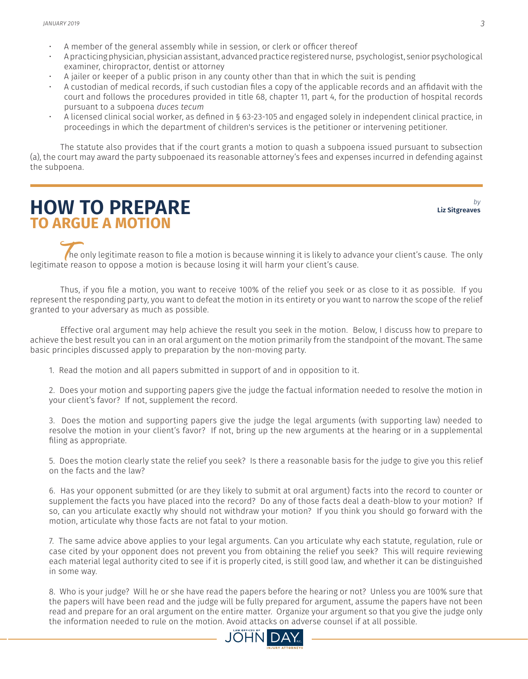- A member of the general assembly while in session, or clerk or officer thereof
- A practicing physician, physician assistant, advanced practice registered nurse, psychologist, senior psychological examiner, chiropractor, dentist or attorney
- A jailer or keeper of a public prison in any county other than that in which the suit is pending
- A custodian of medical records, if such custodian files a copy of the applicable records and an affidavit with the court and follows the procedures provided in title 68, chapter 11, part 4, for the production of hospital records pursuant to a subpoena *duces tecum*
- A licensed clinical social worker, as defined in § 63-23-105 and engaged solely in independent clinical practice, in proceedings in which the department of children's services is the petitioner or intervening petitioner.

The statute also provides that if the court grants a motion to quash a subpoena issued pursuant to subsection (a), the court may award the party subpoenaed its reasonable attorney's fees and expenses incurred in defending against the subpoena.

### **HOW TO PREPARE TO ARGUE A MOTION**

*by* **Liz Sitgreaves**

The only legitimate reason to file a motion is because winning it is likely to advance your client's cause. The only legitimate reason to oppose a motion is because losing it will harm your client's cause.

Thus, if you file a motion, you want to receive 100% of the relief you seek or as close to it as possible. If you represent the responding party, you want to defeat the motion in its entirety or you want to narrow the scope of the relief granted to your adversary as much as possible.

Effective oral argument may help achieve the result you seek in the motion. Below, I discuss how to prepare to achieve the best result you can in an oral argument on the motion primarily from the standpoint of the movant. The same basic principles discussed apply to preparation by the non-moving party.

1. Read the motion and all papers submitted in support of and in opposition to it.

2. Does your motion and supporting papers give the judge the factual information needed to resolve the motion in your client's favor? If not, supplement the record.

3. Does the motion and supporting papers give the judge the legal arguments (with supporting law) needed to resolve the motion in your client's favor? If not, bring up the new arguments at the hearing or in a supplemental filing as appropriate.

5. Does the motion clearly state the relief you seek? Is there a reasonable basis for the judge to give you this relief on the facts and the law?

6. Has your opponent submitted (or are they likely to submit at oral argument) facts into the record to counter or supplement the facts you have placed into the record? Do any of those facts deal a death-blow to your motion? If so, can you articulate exactly why should not withdraw your motion? If you think you should go forward with the motion, articulate why those facts are not fatal to your motion.

7. The same advice above applies to your legal arguments. Can you articulate why each statute, regulation, rule or case cited by your opponent does not prevent you from obtaining the relief you seek? This will require reviewing each material legal authority cited to see if it is properly cited, is still good law, and whether it can be distinguished in some way.

8. Who is your judge? Will he or she have read the papers before the hearing or not? Unless you are 100% sure that the papers will have been read and the judge will be fully prepared for argument, assume the papers have not been read and prepare for an oral argument on the entire matter. Organize your argument so that you give the judge only the information needed to rule on the motion. Avoid attacks on adverse counsel if at all possible.